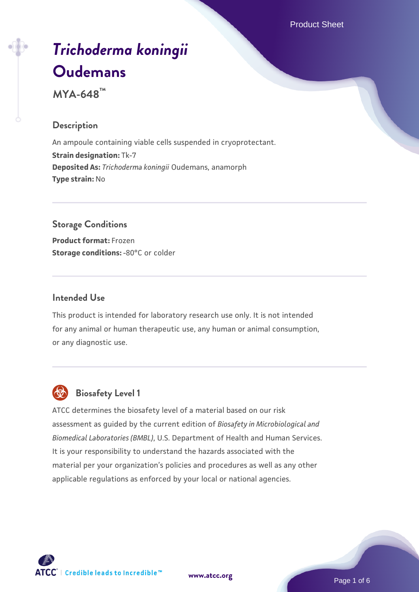Product Sheet

# *[Trichoderma koningii](https://www.atcc.org/products/mya-648)* **[Oudemans](https://www.atcc.org/products/mya-648)**

**MYA-648™**

# **Description**

An ampoule containing viable cells suspended in cryoprotectant. **Strain designation:** Tk-7 **Deposited As:** *Trichoderma koningii* Oudemans, anamorph **Type strain:** No

# **Storage Conditions**

**Product format:** Frozen **Storage conditions: -80°C or colder** 

## **Intended Use**

This product is intended for laboratory research use only. It is not intended for any animal or human therapeutic use, any human or animal consumption, or any diagnostic use.



# **Biosafety Level 1**

ATCC determines the biosafety level of a material based on our risk assessment as guided by the current edition of *Biosafety in Microbiological and Biomedical Laboratories (BMBL)*, U.S. Department of Health and Human Services. It is your responsibility to understand the hazards associated with the material per your organization's policies and procedures as well as any other applicable regulations as enforced by your local or national agencies.

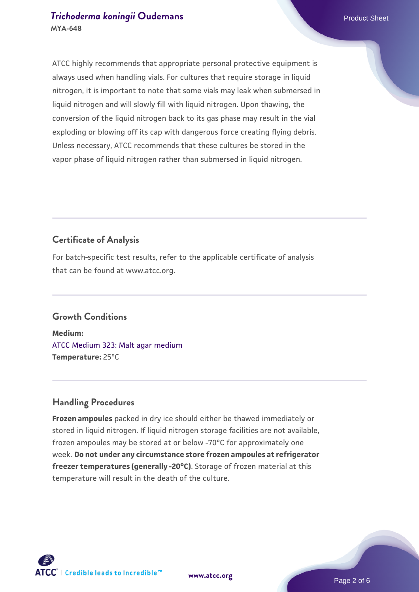### **[Trichoderma koningii](https://www.atcc.org/products/mya-648) [Oudemans](https://www.atcc.org/products/mya-648) Product Sheet MYA-648**

ATCC highly recommends that appropriate personal protective equipment is always used when handling vials. For cultures that require storage in liquid nitrogen, it is important to note that some vials may leak when submersed in liquid nitrogen and will slowly fill with liquid nitrogen. Upon thawing, the conversion of the liquid nitrogen back to its gas phase may result in the vial exploding or blowing off its cap with dangerous force creating flying debris. Unless necessary, ATCC recommends that these cultures be stored in the vapor phase of liquid nitrogen rather than submersed in liquid nitrogen.

# **Certificate of Analysis**

For batch-specific test results, refer to the applicable certificate of analysis that can be found at www.atcc.org.

# **Growth Conditions**

**Medium:**  [ATCC Medium 323: Malt agar medium](https://www.atcc.org/-/media/product-assets/documents/microbial-media-formulations/3/2/3/atcc-medium-323.pdf?rev=58d6457ee20149d7a1c844947569ef92) **Temperature:** 25°C

# **Handling Procedures**

**Frozen ampoules** packed in dry ice should either be thawed immediately or stored in liquid nitrogen. If liquid nitrogen storage facilities are not available, frozen ampoules may be stored at or below -70°C for approximately one week. **Do not under any circumstance store frozen ampoules at refrigerator freezer temperatures (generally -20°C)**. Storage of frozen material at this temperature will result in the death of the culture.

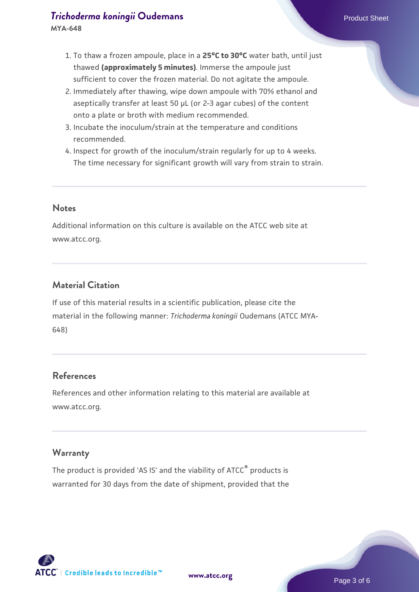#### **[Trichoderma koningii](https://www.atcc.org/products/mya-648) [Oudemans](https://www.atcc.org/products/mya-648) Product Sheet MYA-648**

- 1. To thaw a frozen ampoule, place in a **25°C to 30°C** water bath, until just thawed **(approximately 5 minutes)**. Immerse the ampoule just sufficient to cover the frozen material. Do not agitate the ampoule.
- 2. Immediately after thawing, wipe down ampoule with 70% ethanol and aseptically transfer at least 50 µL (or 2-3 agar cubes) of the content onto a plate or broth with medium recommended.
- 3. Incubate the inoculum/strain at the temperature and conditions recommended.
- 4. Inspect for growth of the inoculum/strain regularly for up to 4 weeks. The time necessary for significant growth will vary from strain to strain.

#### **Notes**

Additional information on this culture is available on the ATCC web site at www.atcc.org.

# **Material Citation**

If use of this material results in a scientific publication, please cite the material in the following manner: *Trichoderma koningii* Oudemans (ATCC MYA-648)

# **References**

References and other information relating to this material are available at www.atcc.org.

#### **Warranty**

The product is provided 'AS IS' and the viability of ATCC<sup>®</sup> products is warranted for 30 days from the date of shipment, provided that the

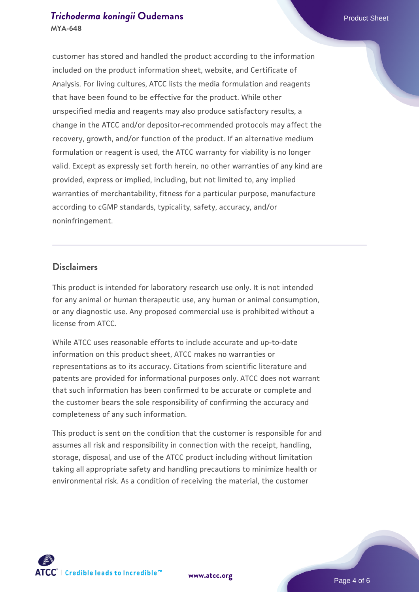#### **[Trichoderma koningii](https://www.atcc.org/products/mya-648) [Oudemans](https://www.atcc.org/products/mya-648) Product Sheet MYA-648**

customer has stored and handled the product according to the information included on the product information sheet, website, and Certificate of Analysis. For living cultures, ATCC lists the media formulation and reagents that have been found to be effective for the product. While other unspecified media and reagents may also produce satisfactory results, a change in the ATCC and/or depositor-recommended protocols may affect the recovery, growth, and/or function of the product. If an alternative medium formulation or reagent is used, the ATCC warranty for viability is no longer valid. Except as expressly set forth herein, no other warranties of any kind are provided, express or implied, including, but not limited to, any implied warranties of merchantability, fitness for a particular purpose, manufacture according to cGMP standards, typicality, safety, accuracy, and/or noninfringement.

#### **Disclaimers**

This product is intended for laboratory research use only. It is not intended for any animal or human therapeutic use, any human or animal consumption, or any diagnostic use. Any proposed commercial use is prohibited without a license from ATCC.

While ATCC uses reasonable efforts to include accurate and up-to-date information on this product sheet, ATCC makes no warranties or representations as to its accuracy. Citations from scientific literature and patents are provided for informational purposes only. ATCC does not warrant that such information has been confirmed to be accurate or complete and the customer bears the sole responsibility of confirming the accuracy and completeness of any such information.

This product is sent on the condition that the customer is responsible for and assumes all risk and responsibility in connection with the receipt, handling, storage, disposal, and use of the ATCC product including without limitation taking all appropriate safety and handling precautions to minimize health or environmental risk. As a condition of receiving the material, the customer



**[www.atcc.org](http://www.atcc.org)**

Page 4 of 6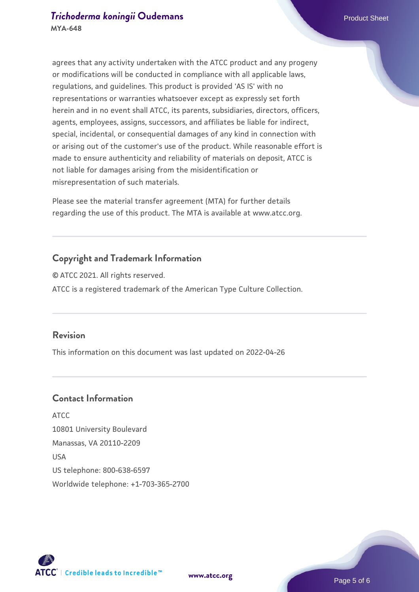agrees that any activity undertaken with the ATCC product and any progeny or modifications will be conducted in compliance with all applicable laws, regulations, and guidelines. This product is provided 'AS IS' with no representations or warranties whatsoever except as expressly set forth herein and in no event shall ATCC, its parents, subsidiaries, directors, officers, agents, employees, assigns, successors, and affiliates be liable for indirect, special, incidental, or consequential damages of any kind in connection with or arising out of the customer's use of the product. While reasonable effort is made to ensure authenticity and reliability of materials on deposit, ATCC is not liable for damages arising from the misidentification or misrepresentation of such materials.

Please see the material transfer agreement (MTA) for further details regarding the use of this product. The MTA is available at www.atcc.org.

# **Copyright and Trademark Information**

© ATCC 2021. All rights reserved. ATCC is a registered trademark of the American Type Culture Collection.

#### **Revision**

This information on this document was last updated on 2022-04-26

# **Contact Information**

ATCC 10801 University Boulevard Manassas, VA 20110-2209 USA US telephone: 800-638-6597 Worldwide telephone: +1-703-365-2700